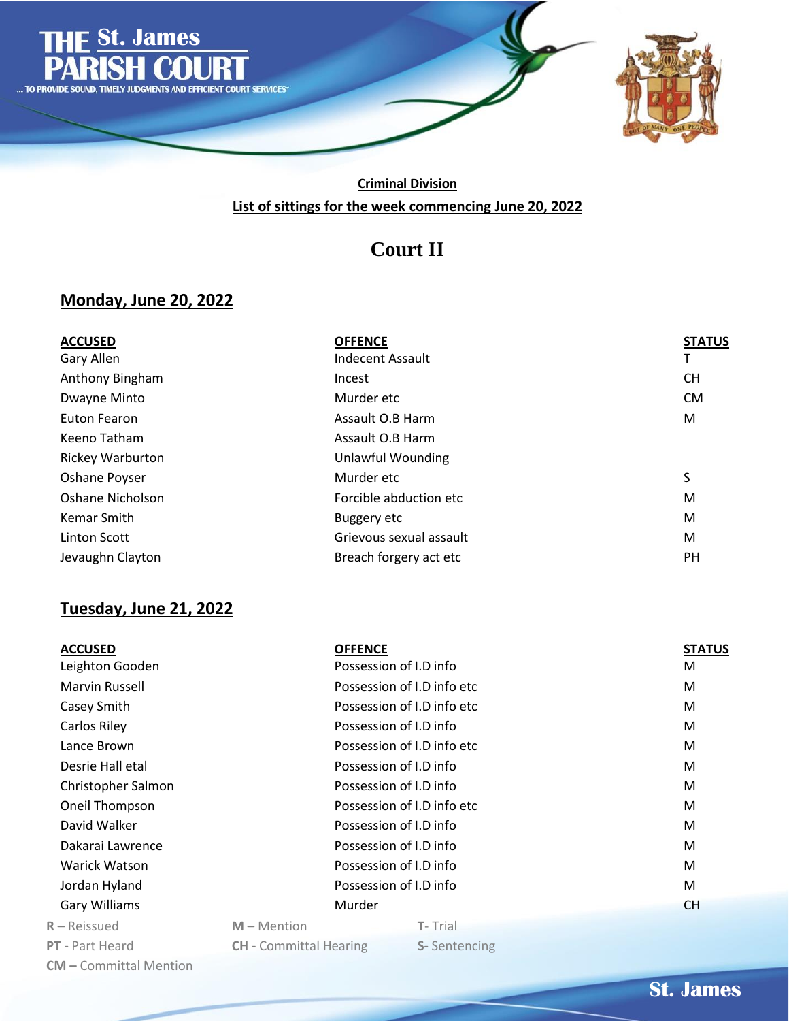

## **Criminal Division List of sittings for the week commencing June 20, 2022**

# **Court II**

## **Monday, June 20, 2022**

| <b>ACCUSED</b>          | <b>OFFENCE</b>           | <b>STATUS</b> |
|-------------------------|--------------------------|---------------|
| Gary Allen              | <b>Indecent Assault</b>  |               |
| Anthony Bingham         | Incest                   | <b>CH</b>     |
| Dwayne Minto            | Murder etc               | <b>CM</b>     |
| Euton Fearon            | Assault O.B Harm         | M             |
| Keeno Tatham            | Assault O.B Harm         |               |
| <b>Rickey Warburton</b> | <b>Unlawful Wounding</b> |               |
| Oshane Poyser           | Murder etc               | S             |
| Oshane Nicholson        | Forcible abduction etc   | M             |
| Kemar Smith             | <b>Buggery etc</b>       | M             |
| Linton Scott            | Grievous sexual assault  | M             |
| Jevaughn Clayton        | Breach forgery act etc   | PH            |

## **Tuesday, June 21, 2022**

| <b>ACCUSED</b>                | <b>OFFENCE</b>                |                            | <b>STATUS</b> |
|-------------------------------|-------------------------------|----------------------------|---------------|
| Leighton Gooden               |                               | Possession of I.D info     | М             |
| Marvin Russell                |                               | Possession of I.D info etc | M             |
| Casey Smith                   |                               | Possession of I.D info etc | M             |
| Carlos Riley                  |                               | Possession of I.D info     | M             |
| Lance Brown                   |                               | Possession of I.D info etc | M             |
| Desrie Hall etal              |                               | Possession of I.D info     | M             |
| Christopher Salmon            |                               | Possession of I.D info     | M             |
| Oneil Thompson                |                               | Possession of I.D info etc | M             |
| David Walker                  |                               | Possession of I.D info     | M             |
| Dakarai Lawrence              |                               | Possession of I.D info     | M             |
| Warick Watson                 |                               | Possession of I.D info     | M             |
| Jordan Hyland                 |                               | Possession of I.D info     | M             |
| <b>Gary Williams</b>          | Murder                        |                            | <b>CH</b>     |
| $R -$ Reissued                | $M -$ Mention                 | T-Trial                    |               |
| <b>PT</b> - Part Heard        | <b>CH</b> - Committal Hearing | S-Sentencing               |               |
| <b>CM</b> – Committal Mention |                               |                            |               |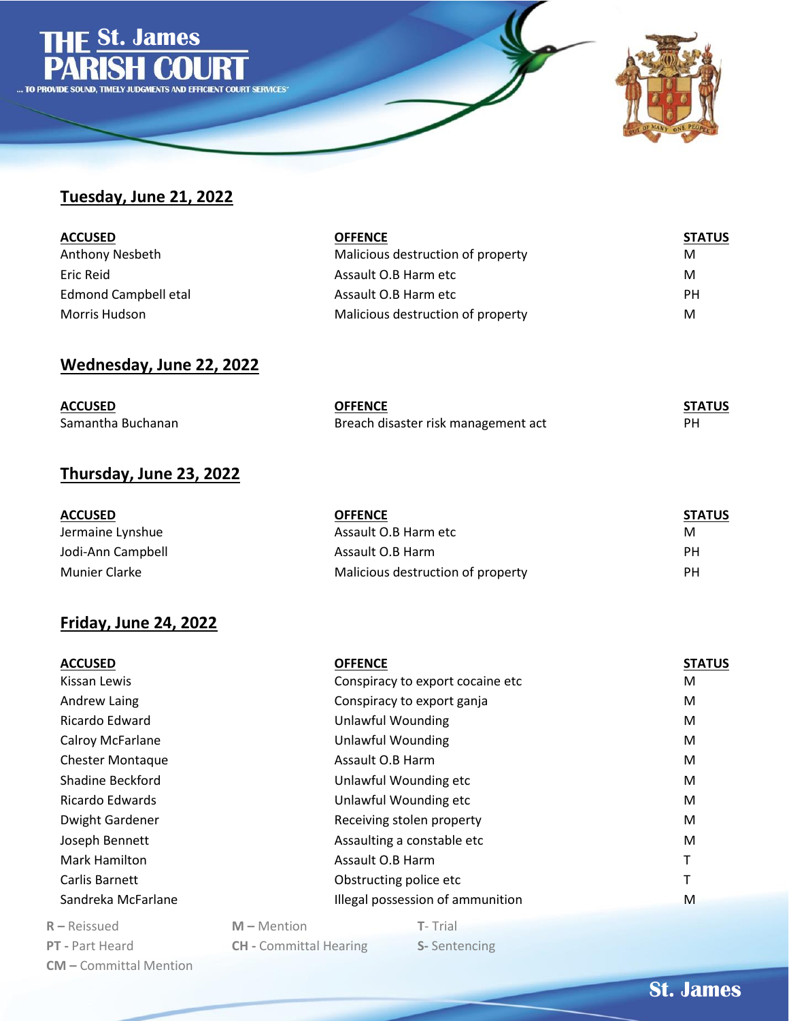

#### **Tuesday, June 21, 2022**

| <b>ACCUSED</b>       | <b>OFFENCE</b>                    | <b>STATUS</b> |
|----------------------|-----------------------------------|---------------|
| Anthony Nesbeth      | Malicious destruction of property | M             |
| Eric Reid            | Assault O.B Harm etc              | M             |
| Edmond Campbell etal | Assault O.B Harm etc              | PH            |
| Morris Hudson        | Malicious destruction of property | M             |

## **Wednesday, June 22, 2022**

| <b>ACCUSED</b>    | <b>OFFENCE</b>                      | <b>STATUS</b> |
|-------------------|-------------------------------------|---------------|
| Samantha Buchanan | Breach disaster risk management act |               |

#### **Thursday, June 23, 2022**

| <b>ACCUSED</b>    | <b>OFFENCE</b>                    | <b>STATUS</b> |
|-------------------|-----------------------------------|---------------|
| Jermaine Lynshue  | Assault O.B Harm etc              | M             |
| Jodi-Ann Campbell | Assault O.B Harm                  | РH            |
| Munier Clarke     | Malicious destruction of property | РH            |

#### **Friday, June 24, 2022**

| <b>ACCUSED</b>          |               | <b>OFFENCE</b>                   | <b>STATUS</b> |
|-------------------------|---------------|----------------------------------|---------------|
| Kissan Lewis            |               | Conspiracy to export cocaine etc | M             |
| Andrew Laing            |               | Conspiracy to export ganja       | M             |
| Ricardo Edward          |               | <b>Unlawful Wounding</b>         | М             |
| Calroy McFarlane        |               | <b>Unlawful Wounding</b>         | M             |
| <b>Chester Montaque</b> |               | Assault O.B Harm                 | М             |
| Shadine Beckford        |               | Unlawful Wounding etc            | M             |
| Ricardo Edwards         |               | Unlawful Wounding etc            | M             |
| Dwight Gardener         |               | Receiving stolen property        | M             |
| Joseph Bennett          |               | Assaulting a constable etc       | M             |
| Mark Hamilton           |               | Assault O.B Harm                 | Т             |
| Carlis Barnett          |               | Obstructing police etc           | т             |
| Sandreka McFarlane      |               | Illegal possession of ammunition | M             |
| $R - Reissued$          | $M -$ Mention | T-Trial                          |               |
|                         |               |                                  |               |

**PT -** Part Heard **CH -** Committal Hearing **S-** Sentencing **CM –** Committal Mention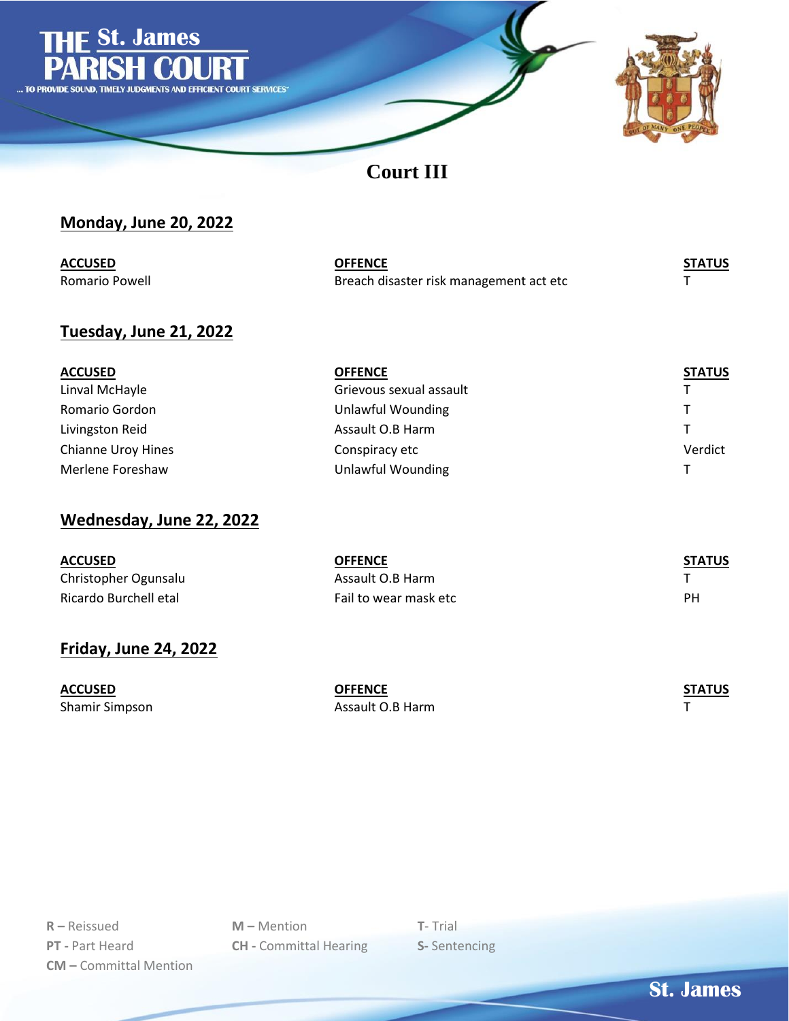

**Court III**

## **Monday, June 20, 2022**

| <b>ACCUSED</b> | <b>OFFENCE</b>                          | <b>STATUS</b> |
|----------------|-----------------------------------------|---------------|
| Romario Powell | Breach disaster risk management act etc |               |

#### **Tuesday, June 21, 2022**

| <b>ACCUSED</b>            | <b>OFFENCE</b>          | <b>STATUS</b> |
|---------------------------|-------------------------|---------------|
| Linval McHayle            | Grievous sexual assault |               |
| Romario Gordon            | Unlawful Wounding       | T.            |
| Livingston Reid           | Assault O.B Harm        |               |
| <b>Chianne Uroy Hines</b> | Conspiracy etc          | Verdict       |
| Merlene Foreshaw          | Unlawful Wounding       |               |

## **Wednesday, June 22, 2022**

| <b>ACCUSED</b>        | <b>OFFENCE</b>        | <b>STATUS</b> |
|-----------------------|-----------------------|---------------|
| Christopher Ogunsalu  | Assault O.B Harm      |               |
| Ricardo Burchell etal | Fail to wear mask etc | РH            |

## **Friday, June 24, 2022**

| ACCUSED        | OFFENCE          | <b>STATUS</b> |
|----------------|------------------|---------------|
| Shamir Simpson | Assault O.B Harm |               |